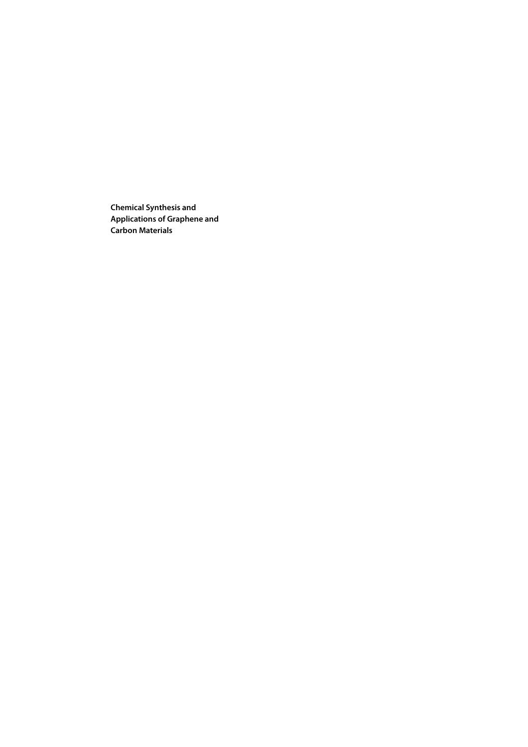**Chemical Synthesis and Applications of Graphene and Carbon Materials**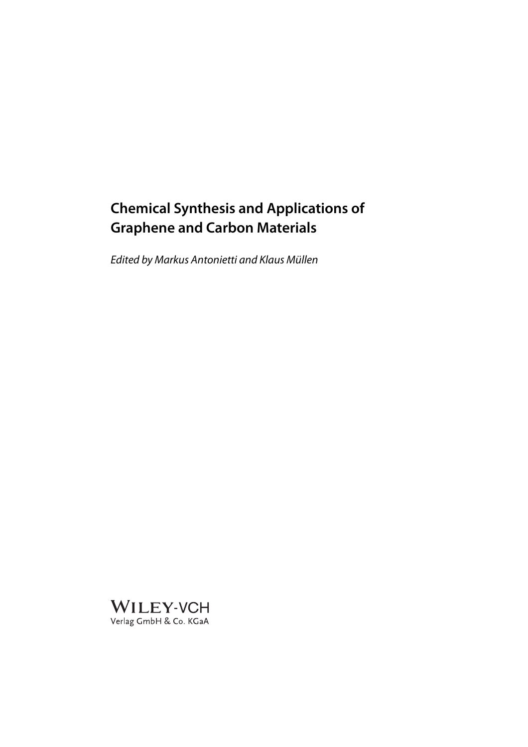# **Chemical Synthesis and Applications of Graphene and Carbon Materials**

Edited by Markus Antonietti and Klaus Müllen

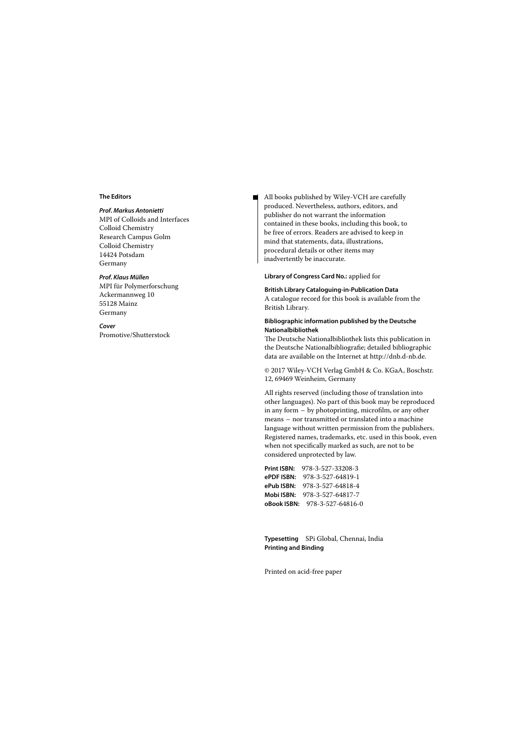#### **The Editors**

#### *Prof. Markus Antonietti*

MPI of Colloids and Interfaces Colloid Chemistry Research Campus Golm Colloid Chemistry 14424 Potsdam Germany

#### *Prof. Klaus Müllen*

MPI für Polymerforschung Ackermannweg 10 55128 Mainz Germany

# *Cover*

Promotive/Shutterstock

All books published by Wiley-VCH are carefully produced. Nevertheless, authors, editors, and publisher do not warrant the information contained in these books, including this book, to be free of errors. Readers are advised to keep in mind that statements, data, illustrations, procedural details or other items may inadvertently be inaccurate.

#### **Library of Congress Card No.:** applied for

#### **British Library Cataloguing-in-Publication Data**

A catalogue record for this book is available from the British Library.

#### **Bibliographic information published by the Deutsche Nationalbibliothek**

The Deutsche Nationalbibliothek lists this publication in the Deutsche Nationalbibliografie; detailed bibliographic data are available on the Internet at http://dnb.d-nb.de.

© 2017 Wiley-VCH Verlag GmbH & Co. KGaA, Boschstr. 12, 69469 Weinheim, Germany

All rights reserved (including those of translation into other languages). No part of this book may be reproduced in any form – by photoprinting, microfilm, or any other means – nor transmitted or translated into a machine language without written permission from the publishers. Registered names, trademarks, etc. used in this book, even when not specifically marked as such, are not to be considered unprotected by law.

| Print ISBN: | 978-3-527-33208-3                    |
|-------------|--------------------------------------|
| ePDF ISBN:  | 978-3-527-64819-1                    |
| ePub ISBN:  | 978-3-527-64818-4                    |
| Mobi ISBN:  | 978-3-527-64817-7                    |
|             | <b>oBook ISBN:</b> 978-3-527-64816-0 |

**Typesetting** SPi Global, Chennai, India **Printing and Binding**

Printed on acid-free paper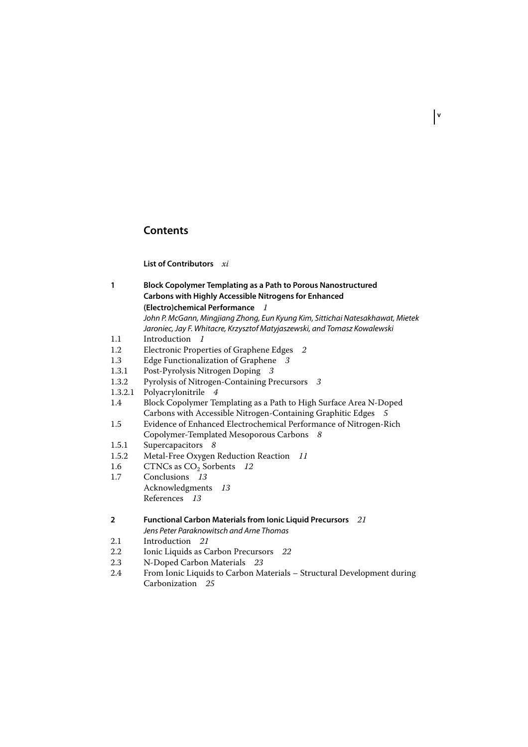# **Contents**

**List of Contributors** *xi*

| 1       | <b>Block Copolymer Templating as a Path to Porous Nanostructured</b><br><b>Carbons with Highly Accessible Nitrogens for Enhanced</b>                        |
|---------|-------------------------------------------------------------------------------------------------------------------------------------------------------------|
|         | (Electro)chemical Performance<br>$\overline{\phantom{a}}$                                                                                                   |
|         | John P. McGann, Mingjiang Zhong, Eun Kyung Kim, Sittichai Natesakhawat, Mietek<br>Jaroniec, Jay F. Whitacre, Krzysztof Matyjaszewski, and Tomasz Kowalewski |
| 1.1     | Introduction<br>-1                                                                                                                                          |
| 1.2     | Electronic Properties of Graphene Edges 2                                                                                                                   |
| 1.3     | Edge Functionalization of Graphene<br>- 3                                                                                                                   |
| 1.3.1   | Post-Pyrolysis Nitrogen Doping 3                                                                                                                            |
| 1.3.2   | Pyrolysis of Nitrogen-Containing Precursors 3                                                                                                               |
| 1.3.2.1 | Polyacrylonitrile<br>4                                                                                                                                      |
| 1.4     | Block Copolymer Templating as a Path to High Surface Area N-Doped                                                                                           |
|         | Carbons with Accessible Nitrogen-Containing Graphitic Edges<br>- 5                                                                                          |
| 1.5     | Evidence of Enhanced Electrochemical Performance of Nitrogen-Rich                                                                                           |
|         | Copolymer-Templated Mesoporous Carbons<br>8                                                                                                                 |
| 1.5.1   | Supercapacitors 8                                                                                                                                           |
| 1.5.2   | Metal-Free Oxygen Reduction Reaction<br>-11                                                                                                                 |
| 1.6     | CTNCs as $CO2$ Sorbents 12                                                                                                                                  |
| 1.7     | Conclusions 13                                                                                                                                              |
|         | Acknowledgments 13                                                                                                                                          |
|         | References 13                                                                                                                                               |
|         |                                                                                                                                                             |
| 2       | Functional Carbon Materials from Ionic Liquid Precursors 21                                                                                                 |
|         | Jens Peter Paraknowitsch and Arne Thomas                                                                                                                    |
| 2.1     | Introduction 21                                                                                                                                             |
| 2.2     | Ionic Liquids as Carbon Precursors 22                                                                                                                       |
| 2.3     | N-Doped Carbon Materials 23                                                                                                                                 |
| 2.4     | From Ionic Liquids to Carbon Materials - Structural Development during<br>Carbonization 25                                                                  |
|         |                                                                                                                                                             |

**v**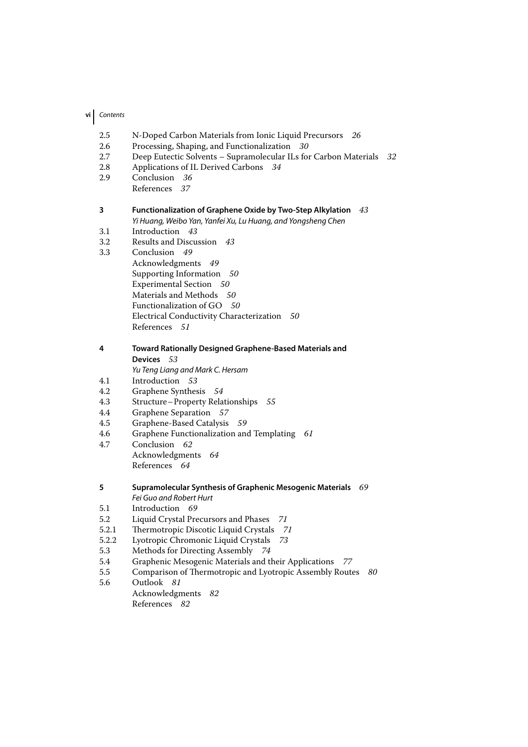# **vi** Contents

- 2.5 N-Doped Carbon Materials from Ionic Liquid Precursors *26*
- 2.6 Processing, Shaping, and Functionalization *30*
- 2.7 Deep Eutectic Solvents Supramolecular ILs for Carbon Materials *32*
- 2.8 Applications of IL Derived Carbons *34*
- 2.9 Conclusion *36*
	- References *37*

## **3 Functionalization of Graphene Oxide by Two-Step Alkylation** *43* Yi Huang, Weibo Yan, Yanfei Xu, Lu Huang, and Yongsheng Chen

- 3.1 Introduction *43*
- 3.2 Results and Discussion *43*
- 3.3 Conclusion *49*
	- Acknowledgments *49* Supporting Information *50* Experimental Section *50* Materials and Methods *50* Functionalization of GO *50* Electrical Conductivity Characterization *50* References *51*

# **4 Toward Rationally Designed Graphene-Based Materials and Devices** *53*

Yu Teng Liang and Mark C. Hersam

- 4.1 Introduction *53*
- 4.2 Graphene Synthesis *54*
- 4.3 Structure–Property Relationships *55*
- 4.4 Graphene Separation *57*
- 4.5 Graphene-Based Catalysis *59*
- 4.6 Graphene Functionalization and Templating *61*
- 4.7 Conclusion *62* Acknowledgments *64* References *64*

## **5 Supramolecular Synthesis of Graphenic Mesogenic Materials** *69* Fei Guo and Robert Hurt

- 5.1 Introduction *69*
- 5.2 Liquid Crystal Precursors and Phases *71*
- 5.2.1 Thermotropic Discotic Liquid Crystals *71*
- 5.2.2 Lyotropic Chromonic Liquid Crystals *73*
- 5.3 Methods for Directing Assembly *74*
- 5.4 Graphenic Mesogenic Materials and their Applications *77*
- 5.5 Comparison of Thermotropic and Lyotropic Assembly Routes *80*
- 5.6 Outlook *81* Acknowledgments *82* References *82*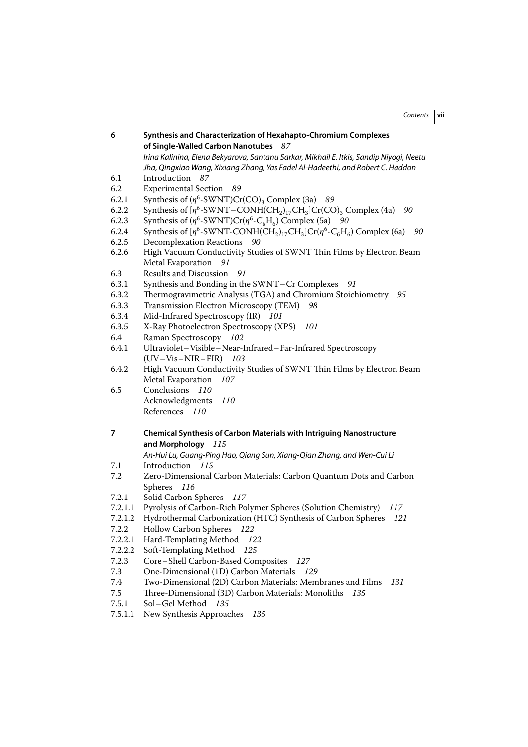| 6       | Synthesis and Characterization of Hexahapto-Chromium Complexes                                                                                      |
|---------|-----------------------------------------------------------------------------------------------------------------------------------------------------|
|         | of Single-Walled Carbon Nanotubes<br>87                                                                                                             |
|         | Irina Kalinina, Elena Bekyarova, Santanu Sarkar, Mikhail E. Itkis, Sandip Niyoqi, Neetu                                                             |
|         | Jha, Qingxiao Wang, Xixiang Zhang, Yas Fadel Al-Hadeethi, and Robert C. Haddon                                                                      |
| 6.1     | Introduction<br>87                                                                                                                                  |
| 6.2     | Experimental Section 89                                                                                                                             |
| 6.2.1   | Synthesis of $(\eta^6$ -SWNT)Cr(CO) <sub>3</sub> Complex (3a) 89                                                                                    |
| 6.2.2   | Synthesis of $[\eta^6$ -SWNT – CONH(CH <sub>2</sub> ) <sub>17</sub> CH <sub>3</sub> ]Cr(CO) <sub>3</sub> Complex (4a)<br>90                         |
| 6.2.3   | Synthesis of $(\eta^6$ -SWNT)Cr( $\eta^6$ -C <sub>6</sub> H <sub>6</sub> ) Complex (5a) 90                                                          |
| 6.2.4   | Synthesis of $[\eta^6$ -SWNT-CONH(CH <sub>2</sub> ) <sub>17</sub> CH <sub>3</sub> ]Cr( $\eta^6$ -C <sub>6</sub> H <sub>6</sub> ) Complex (6a)<br>90 |
| 6.2.5   | <b>Decomplexation Reactions</b><br>90                                                                                                               |
| 6.2.6   | High Vacuum Conductivity Studies of SWNT Thin Films by Electron Beam                                                                                |
|         | Metal Evaporation<br>91                                                                                                                             |
| 6.3     | Results and Discussion<br>91                                                                                                                        |
| 6.3.1   | Synthesis and Bonding in the SWNT-Cr Complexes 91                                                                                                   |
| 6.3.2   | Thermogravimetric Analysis (TGA) and Chromium Stoichiometry 95                                                                                      |
| 6.3.3   | Transmission Electron Microscopy (TEM)<br>98                                                                                                        |
| 6.3.4   | Mid-Infrared Spectroscopy (IR) 101                                                                                                                  |
| 6.3.5   | X-Ray Photoelectron Spectroscopy (XPS)<br>101                                                                                                       |
| 6.4     | Raman Spectroscopy 102                                                                                                                              |
| 6.4.1   | Ultraviolet-Visible-Near-Infrared-Far-Infrared Spectroscopy                                                                                         |
|         | $(UV-Vis-NIR-FIR)$ 103                                                                                                                              |
| 6.4.2   | High Vacuum Conductivity Studies of SWNT Thin Films by Electron Beam                                                                                |
|         | Metal Evaporation 107                                                                                                                               |
| 6.5     | Conclusions 110                                                                                                                                     |
|         | Acknowledgments<br>110                                                                                                                              |
|         | References 110                                                                                                                                      |
|         |                                                                                                                                                     |
| 7       | <b>Chemical Synthesis of Carbon Materials with Intriguing Nanostructure</b>                                                                         |
|         | and Morphology 115                                                                                                                                  |
|         | An-Hui Lu, Guang-Ping Hao, Qiang Sun, Xiang-Qian Zhang, and Wen-Cui Li                                                                              |
| 7.1     | Introduction<br>- 115                                                                                                                               |
| 7.2     | Zero-Dimensional Carbon Materials: Carbon Quantum Dots and Carbon                                                                                   |
|         | Spheres<br>116                                                                                                                                      |
| 7.2.1   | Solid Carbon Spheres 117                                                                                                                            |
| 7.2.1.1 | Pyrolysis of Carbon-Rich Polymer Spheres (Solution Chemistry)<br>117                                                                                |
| 7.2.1.2 | Hydrothermal Carbonization (HTC) Synthesis of Carbon Spheres<br>121                                                                                 |
| 7.2.2   | Hollow Carbon Spheres 122                                                                                                                           |
| 7.2.2.1 | Hard-Templating Method<br>122                                                                                                                       |
| 7.2.2.2 | Soft-Templating Method<br>125                                                                                                                       |
| 7.2.3   | Core-Shell Carbon-Based Composites<br>127                                                                                                           |
| 7.3     | One-Dimensional (1D) Carbon Materials<br>129                                                                                                        |
| 7.4     | Two-Dimensional (2D) Carbon Materials: Membranes and Films<br>131                                                                                   |
| 7.5     | Three-Dimensional (3D) Carbon Materials: Monoliths<br>135                                                                                           |
| 7.5.1   | Sol-Gel Method<br>135                                                                                                                               |

7.5.1.1 New Synthesis Approaches *135*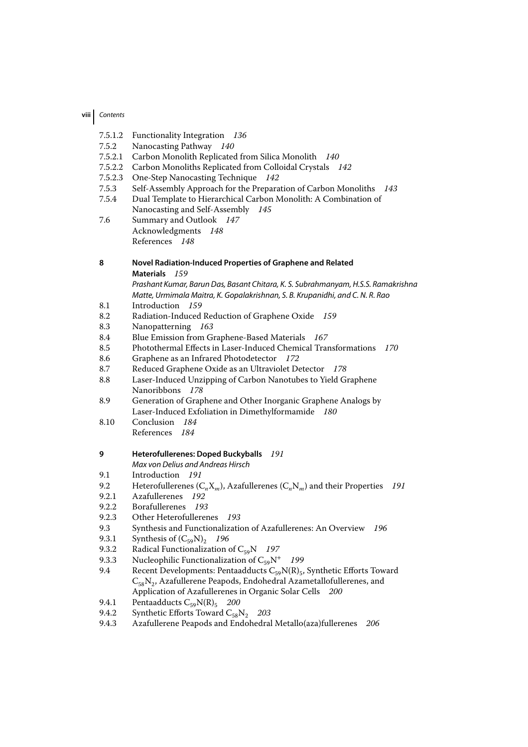## **viii** Contents

- 7.5.1.2 Functionality Integration *136*
- 7.5.2 Nanocasting Pathway *140*
- 7.5.2.1 Carbon Monolith Replicated from Silica Monolith *140*
- 7.5.2.2 Carbon Monoliths Replicated from Colloidal Crystals *142*
- 7.5.2.3 One-Step Nanocasting Technique *142*
- 7.5.3 Self-Assembly Approach for the Preparation of Carbon Monoliths *143*
- 7.5.4 Dual Template to Hierarchical Carbon Monolith: A Combination of Nanocasting and Self-Assembly *145*
- 7.6 Summary and Outlook *147* Acknowledgments *148* References *148*

## **8 Novel Radiation-Induced Properties of Graphene and Related Materials** *159*

- Prashant Kumar, Barun Das, Basant Chitara, K. S. Subrahmanyam, H.S.S. Ramakrishna Matte, Urmimala Maitra, K. Gopalakrishnan, S. B. Krupanidhi, and C. N. R. Rao
- 8.1 Introduction *159*
- 8.2 Radiation-Induced Reduction of Graphene Oxide *159*
- 8.3 Nanopatterning *163*
- 8.4 Blue Emission from Graphene-Based Materials *167*
- 8.5 Photothermal Effects in Laser-Induced Chemical Transformations *170*
- 8.6 Graphene as an Infrared Photodetector *172*
- 8.7 Reduced Graphene Oxide as an Ultraviolet Detector *178*
- 8.8 Laser-Induced Unzipping of Carbon Nanotubes to Yield Graphene Nanoribbons *178*
- 8.9 Generation of Graphene and Other Inorganic Graphene Analogs by Laser-Induced Exfoliation in Dimethylformamide *180*
- 8.10 Conclusion *184* References *184*

#### **9 Heterofullerenes: Doped Buckyballs** *191*

- Max von Delius and Andreas Hirsch
- 9.1 Introduction *191*
- 9.2 Heterofullerenes (C*n*X*m*), Azafullerenes (C*n*N*m*) and their Properties *191*
- 9.2.1 Azafullerenes *192*
- 9.2.2 Borafullerenes *193*
- 9.2.3 Other Heterofullerenes *193*
- 9.3 Synthesis and Functionalization of Azafullerenes: An Overview *196*
- 9.3.1 Synthesis of  $(C_{59}N)_2$  196<br>9.3.2 Radical Functionalization of
- 9.3.2 Radical Functionalization of  $C_{59}N$  *197*<br>9.3.3 Nucleophilic Functionalization of  $C_{59}N^{+}$
- 9.3.3 Nucleophilic Functionalization of  $C_{59}N^+$  *199*<br>9.4 Recent Developments: Pentaadducts  $C_{59}N(R)$
- Recent Developments: Pentaadducts  $C_{59}N(R)_{5}$ , Synthetic Efforts Toward  $C_{58}N_2$ , Azafullerene Peapods, Endohedral Azametallofullerenes, and Application of Azafullerenes in Organic Solar Cells *200*
- 9.4.1 Pentaadducts  $C_{59}N(R)$ <sub>5</sub> *200*<br>9.4.2 Synthetic Efforts Toward  $C_{59}N$
- Synthetic Efforts Toward C<sub>58</sub>N<sub>2</sub> 203
- 9.4.3 Azafullerene Peapods and Endohedral Metallo(aza)fullerenes *206*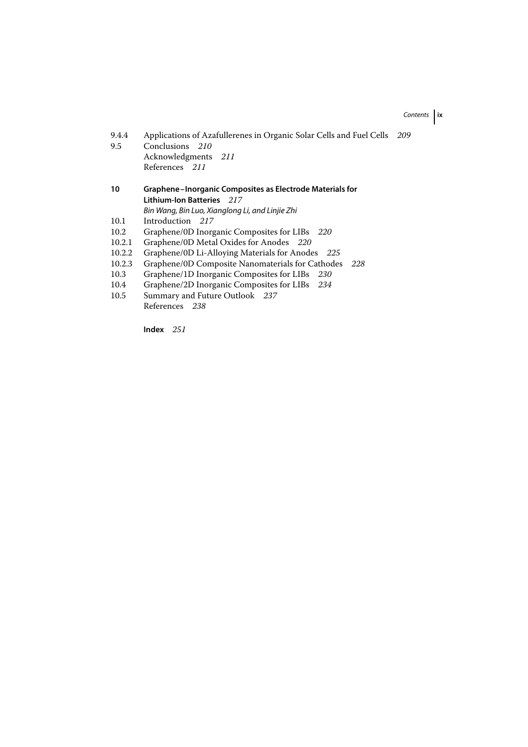# Contents **ix**

| 9.4.4                                                          | Applications of Azafullerenes in Organic Solar Cells and Fuel Cells | 209 |  |
|----------------------------------------------------------------|---------------------------------------------------------------------|-----|--|
| 9.5                                                            | Conclusions 210                                                     |     |  |
|                                                                | Acknowledgments 211                                                 |     |  |
|                                                                | References 211                                                      |     |  |
| 10<br>Graphene-Inorganic Composites as Electrode Materials for |                                                                     |     |  |
|                                                                | <b>Lithium-Ion Batteries</b> 217                                    |     |  |
|                                                                | Bin Wang, Bin Luo, Xianglong Li, and Linjie Zhi                     |     |  |
| 10.1                                                           | Introduction 217                                                    |     |  |
| 10.2                                                           | Graphene/0D Inorganic Composites for LIBs 220                       |     |  |
| 10.2.1                                                         | Graphene/0D Metal Oxides for Anodes 220                             |     |  |
| 10.2.2                                                         | Graphene/0D Li-Alloying Materials for Anodes 225                    |     |  |
| 10.2.3                                                         | Graphene/0D Composite Nanomaterials for Cathodes<br>228             |     |  |
| 10.3                                                           | Graphene/1D Inorganic Composites for LIBs 230                       |     |  |
| 10.4                                                           | Graphene/2D Inorganic Composites for LIBs 234                       |     |  |
| 10.5                                                           | Summary and Future Outlook 237                                      |     |  |
|                                                                | References 238                                                      |     |  |

**Index** *251*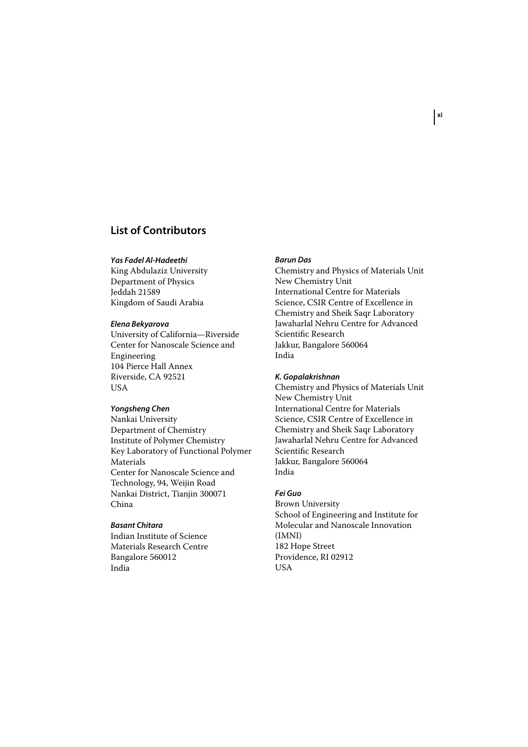# **List of Contributors**

#### *Yas Fadel Al-Hadeethi*

King Abdulaziz University Department of Physics Jeddah 21589 Kingdom of Saudi Arabia

#### *Elena Bekyarova*

University of California—Riverside Center for Nanoscale Science and Engineering 104 Pierce Hall Annex Riverside, CA 92521 USA

## *Yongsheng Chen*

Nankai University Department of Chemistry Institute of Polymer Chemistry Key Laboratory of Functional Polymer Materials Center for Nanoscale Science and Technology, 94, Weijin Road Nankai District, Tianjin 300071 China

## *Basant Chitara*

Indian Institute of Science Materials Research Centre Bangalore 560012 India

## *Barun Das*

Chemistry and Physics of Materials Unit New Chemistry Unit International Centre for Materials Science, CSIR Centre of Excellence in Chemistry and Sheik Saqr Laboratory Jawaharlal Nehru Centre for Advanced Scientific Research Jakkur, Bangalore 560064 India

## *K. Gopalakrishnan*

Chemistry and Physics of Materials Unit New Chemistry Unit International Centre for Materials Science, CSIR Centre of Excellence in Chemistry and Sheik Saqr Laboratory Jawaharlal Nehru Centre for Advanced Scientific Research Jakkur, Bangalore 560064 India

## *Fei Guo*

Brown University School of Engineering and Institute for Molecular and Nanoscale Innovation (IMNI) 182 Hope Street Providence, RI 02912 USA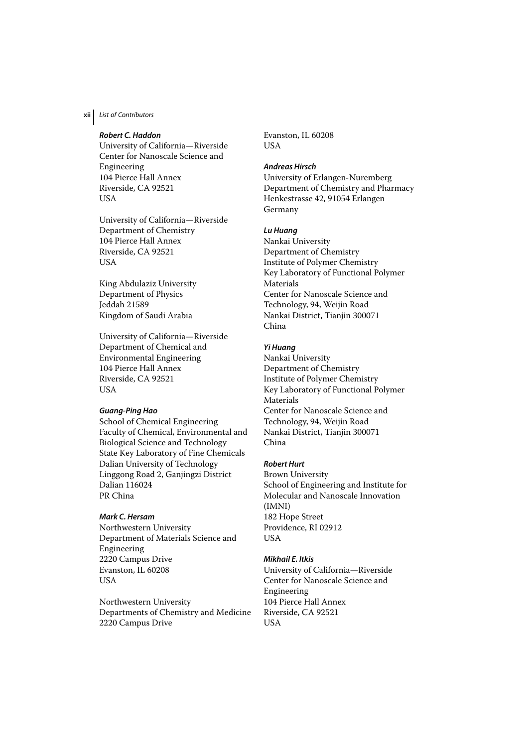# **xii** List of Contributors

## *Robert C. Haddon*

University of California—Riverside Center for Nanoscale Science and Engineering 104 Pierce Hall Annex Riverside, CA 92521 **USA** 

University of California—Riverside Department of Chemistry 104 Pierce Hall Annex Riverside, CA 92521 **USA** 

King Abdulaziz University Department of Physics Jeddah 21589 Kingdom of Saudi Arabia

University of California—Riverside Department of Chemical and Environmental Engineering 104 Pierce Hall Annex Riverside, CA 92521 USA

#### *Guang-Ping Hao*

School of Chemical Engineering Faculty of Chemical, Environmental and Biological Science and Technology State Key Laboratory of Fine Chemicals Dalian University of Technology Linggong Road 2, Ganjingzi District Dalian 116024 PR China

### *Mark C. Hersam*

Northwestern University Department of Materials Science and Engineering 2220 Campus Drive Evanston, IL 60208 USA

Northwestern University Departments of Chemistry and Medicine 2220 Campus Drive

Evanston, IL 60208 **USA** 

#### *Andreas Hirsch*

University of Erlangen-Nuremberg Department of Chemistry and Pharmacy Henkestrasse 42, 91054 Erlangen Germany

## *Lu Huang*

Nankai University Department of Chemistry Institute of Polymer Chemistry Key Laboratory of Functional Polymer Materials Center for Nanoscale Science and Technology, 94, Weijin Road Nankai District, Tianjin 300071 China

### *Yi Huang*

Nankai University Department of Chemistry Institute of Polymer Chemistry Key Laboratory of Functional Polymer Materials Center for Nanoscale Science and Technology, 94, Weijin Road Nankai District, Tianjin 300071 China

### *Robert Hurt*

Brown University School of Engineering and Institute for Molecular and Nanoscale Innovation (IMNI) 182 Hope Street Providence, RI 02912 USA

## *Mikhail E. Itkis*

University of California—Riverside Center for Nanoscale Science and Engineering 104 Pierce Hall Annex Riverside, CA 92521 USA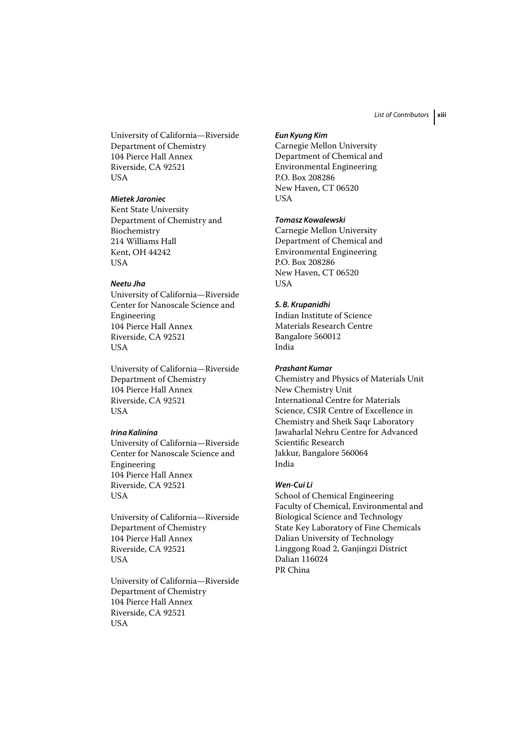University of California—Riverside Department of Chemistry 104 Pierce Hall Annex Riverside, CA 92521 USA

## *Mietek Jaroniec*

Kent State University Department of Chemistry and Biochemistry 214 Williams Hall Kent, OH 44242 **USA** 

## *Neetu Jha*

University of California—Riverside Center for Nanoscale Science and Engineering 104 Pierce Hall Annex Riverside, CA 92521 USA

University of California—Riverside Department of Chemistry 104 Pierce Hall Annex Riverside, CA 92521 USA

## *Irina Kalinina*

University of California—Riverside Center for Nanoscale Science and Engineering 104 Pierce Hall Annex Riverside, CA 92521 USA

University of California—Riverside Department of Chemistry 104 Pierce Hall Annex Riverside, CA 92521 USA

University of California—Riverside Department of Chemistry 104 Pierce Hall Annex Riverside, CA 92521 **USA** 

#### *Eun Kyung Kim*

Carnegie Mellon University Department of Chemical and Environmental Engineering P.O. Box 208286 New Haven, CT 06520 USA

## *Tomasz Kowalewski*

Carnegie Mellon University Department of Chemical and Environmental Engineering P.O. Box 208286 New Haven, CT 06520 USA

## *S. B. Krupanidhi*

Indian Institute of Science Materials Research Centre Bangalore 560012 India

#### *Prashant Kumar*

Chemistry and Physics of Materials Unit New Chemistry Unit International Centre for Materials Science, CSIR Centre of Excellence in Chemistry and Sheik Saqr Laboratory Jawaharlal Nehru Centre for Advanced Scientific Research Jakkur, Bangalore 560064 India

#### *Wen-Cui Li*

School of Chemical Engineering Faculty of Chemical, Environmental and Biological Science and Technology State Key Laboratory of Fine Chemicals Dalian University of Technology Linggong Road 2, Ganjingzi District Dalian 116024 PR China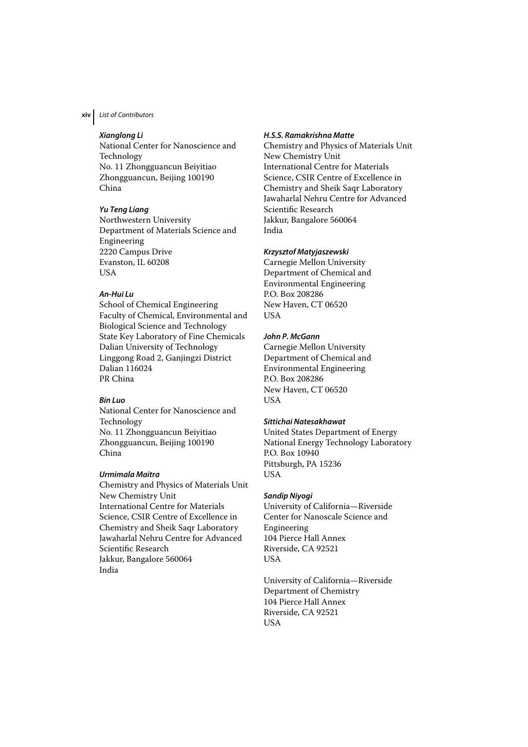## **xiv** List of Contributors

## *Xianglong Li*

National Center for Nanoscience and Technology No. 11 Zhongguancun Beiyitiao Zhongguancun, Beijing 100190 China

## *Yu Teng Liang*

Northwestern University Department of Materials Science and Engineering 2220 Campus Drive Evanston, IL 60208 USA

## *An-Hui Lu*

School of Chemical Engineering Faculty of Chemical, Environmental and Biological Science and Technology State Key Laboratory of Fine Chemicals Dalian University of Technology Linggong Road 2, Ganjingzi District Dalian 116024 PR China

#### *Bin Luo*

National Center for Nanoscience and Technology No. 11 Zhongguancun Beiyitiao Zhongguancun, Beijing 100190 China

#### *Urmimala Maitra*

Chemistry and Physics of Materials Unit New Chemistry Unit International Centre for Materials Science, CSIR Centre of Excellence in Chemistry and Sheik Saqr Laboratory Jawaharlal Nehru Centre for Advanced Scientific Research Jakkur, Bangalore 560064 India

## *H.S.S. Ramakrishna Matte*

Chemistry and Physics of Materials Unit New Chemistry Unit International Centre for Materials Science, CSIR Centre of Excellence in Chemistry and Sheik Saqr Laboratory Jawaharlal Nehru Centre for Advanced Scientific Research Jakkur, Bangalore 560064 India

## *Krzysztof Matyjaszewski*

Carnegie Mellon University Department of Chemical and Environmental Engineering P.O. Box 208286 New Haven, CT 06520 USA

## *John P. McGann*

Carnegie Mellon University Department of Chemical and Environmental Engineering P.O. Box 208286 New Haven, CT 06520 USA

## *Sittichai Natesakhawat*

United States Department of Energy National Energy Technology Laboratory P.O. Box 10940 Pittsburgh, PA 15236 USA

#### *Sandip Niyogi*

University of California—Riverside Center for Nanoscale Science and Engineering 104 Pierce Hall Annex Riverside, CA 92521 USA

University of California—Riverside Department of Chemistry 104 Pierce Hall Annex Riverside, CA 92521 USA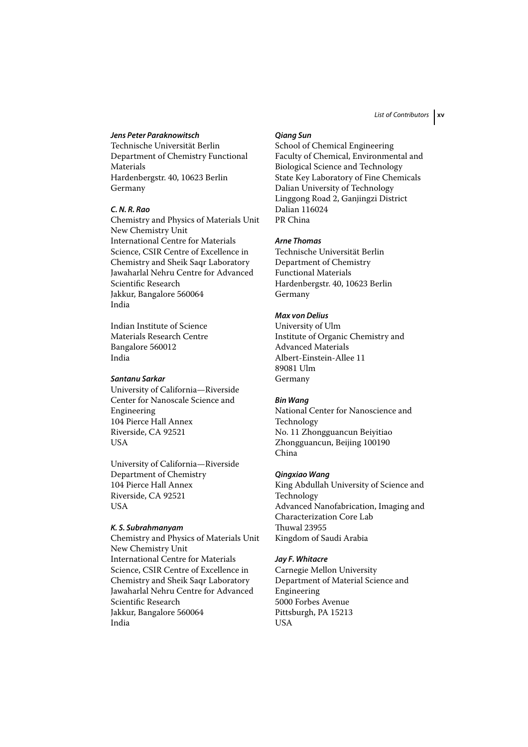## *Jens Peter Paraknowitsch*

Technische Universität Berlin Department of Chemistry Functional Materials Hardenbergstr. 40, 10623 Berlin Germany

## *C. N. R. Rao*

Chemistry and Physics of Materials Unit New Chemistry Unit International Centre for Materials Science, CSIR Centre of Excellence in Chemistry and Sheik Saqr Laboratory Jawaharlal Nehru Centre for Advanced Scientific Research Jakkur, Bangalore 560064 India

Indian Institute of Science Materials Research Centre Bangalore 560012 India

## *Santanu Sarkar*

University of California—Riverside Center for Nanoscale Science and Engineering 104 Pierce Hall Annex Riverside, CA 92521 **USA** 

University of California—Riverside Department of Chemistry 104 Pierce Hall Annex Riverside, CA 92521 **USA** 

#### *K. S. Subrahmanyam*

Chemistry and Physics of Materials Unit New Chemistry Unit International Centre for Materials Science, CSIR Centre of Excellence in Chemistry and Sheik Saqr Laboratory Jawaharlal Nehru Centre for Advanced Scientific Research Jakkur, Bangalore 560064 India

#### *Qiang Sun*

School of Chemical Engineering Faculty of Chemical, Environmental and Biological Science and Technology State Key Laboratory of Fine Chemicals Dalian University of Technology Linggong Road 2, Ganjingzi District Dalian 116024 PR China

#### *Arne Thomas*

Technische Universität Berlin Department of Chemistry Functional Materials Hardenbergstr. 40, 10623 Berlin Germany

## *Max von Delius*

University of Ulm Institute of Organic Chemistry and Advanced Materials Albert-Einstein-Allee 11 89081 Ulm Germany

#### *Bin Wang*

National Center for Nanoscience and Technology No. 11 Zhongguancun Beiyitiao Zhongguancun, Beijing 100190 China

#### *Qingxiao Wang*

King Abdullah University of Science and Technology Advanced Nanofabrication, Imaging and Characterization Core Lab Thuwal 23955 Kingdom of Saudi Arabia

## *Jay F. Whitacre*

Carnegie Mellon University Department of Material Science and Engineering 5000 Forbes Avenue Pittsburgh, PA 15213 USA